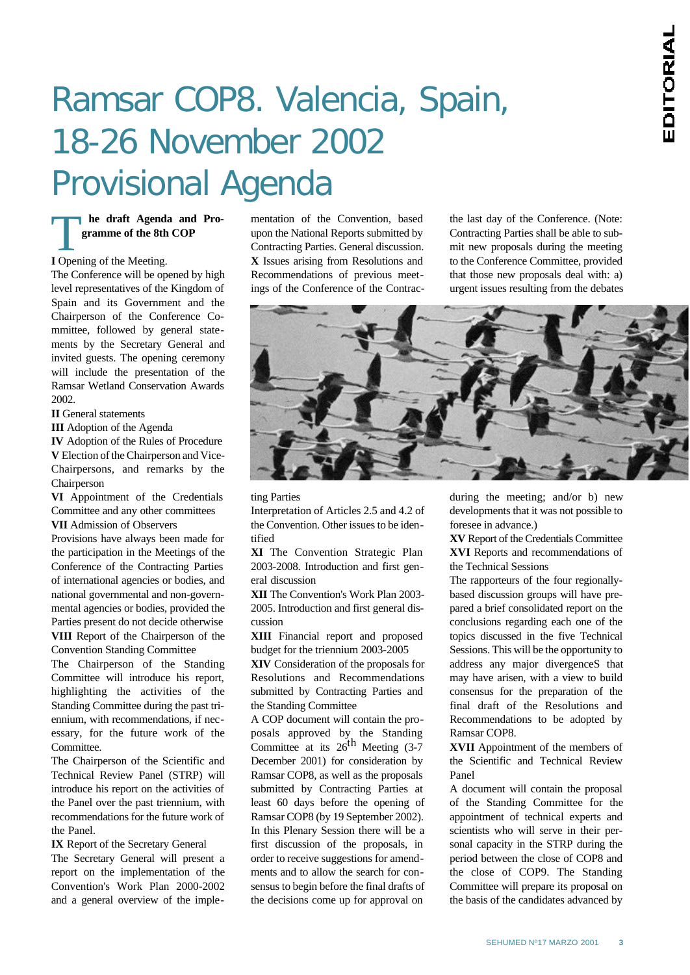# Ramsar COP8. Valencia, Spain, 18-26 November 2002 Provisional Agenda

## **I** Opening of the Meeting. **he draft Agenda and Programme of the 8th COP**

The Conference will be opened by high level representatives of the Kingdom of Spain and its Government and the Chairperson of the Conference Committee, followed by general statements by the Secretary General and invited guests. The opening ceremony will include the presentation of the Ramsar Wetland Conservation Awards 2002.

**II** General statements

**III** Adoption of the Agenda

**IV** Adoption of the Rules of Procedure **V** Election of the Chairperson and Vice-Chairpersons, and remarks by the Chairperson

**VI** Appointment of the Credentials Committee and any other committees **VII** Admission of Observers

Provisions have always been made for the participation in the Meetings of the Conference of the Contracting Parties of international agencies or bodies, and national governmental and non-governmental agencies or bodies, provided the Parties present do not decide otherwise **VIII** Report of the Chairperson of the Convention Standing Committee

The Chairperson of the Standing Committee will introduce his report, highlighting the activities of the Standing Committee during the past triennium, with recommendations, if necessary, for the future work of the Committee.

The Chairperson of the Scientific and Technical Review Panel (STRP) will introduce his report on the activities of the Panel over the past triennium, with recommendations for the future work of the Panel.

**IX** Report of the Secretary General The Secretary General will present a report on the implementation of the Convention's Work Plan 2000-2002 and a general overview of the implementation of the Convention, based upon the National Reports submitted by Contracting Parties. General discussion. **X** Issues arising from Resolutions and Recommendations of previous meetings of the Conference of the Contracthe last day of the Conference. (Note: Contracting Parties shall be able to submit new proposals during the meeting to the Conference Committee, provided that those new proposals deal with: a) urgent issues resulting from the debates



#### ting Parties

Interpretation of Articles 2.5 and 4.2 of the Convention. Other issues to be identified

**XI** The Convention Strategic Plan 2003-2008. Introduction and first general discussion

**XII** The Convention's Work Plan 2003- 2005. Introduction and first general discussion

**XIII** Financial report and proposed budget for the triennium 2003-2005

**XIV** Consideration of the proposals for Resolutions and Recommendations submitted by Contracting Parties and the Standing Committee

A COP document will contain the proposals approved by the Standing Committee at its  $26^{th}$  Meeting (3-7) December 2001) for consideration by Ramsar COP8, as well as the proposals submitted by Contracting Parties at least 60 days before the opening of Ramsar COP8 (by 19 September 2002). In this Plenary Session there will be a first discussion of the proposals, in order to receive suggestions for amendments and to allow the search for consensus to begin before the final drafts of the decisions come up for approval on

during the meeting; and/or b) new developments that it was not possible to foresee in advance.)

**XV** Report of the Credentials Committee **XVI** Reports and recommendations of the Technical Sessions

The rapporteurs of the four regionallybased discussion groups will have prepared a brief consolidated report on the conclusions regarding each one of the topics discussed in the five Technical Sessions. This will be the opportunity to address any major divergenceS that may have arisen, with a view to build consensus for the preparation of the final draft of the Resolutions and Recommendations to be adopted by Ramsar COP8.

**XVII** Appointment of the members of the Scientific and Technical Review Panel

A document will contain the proposal of the Standing Committee for the appointment of technical experts and scientists who will serve in their personal capacity in the STRP during the period between the close of COP8 and the close of COP9. The Standing Committee will prepare its proposal on the basis of the candidates advanced by